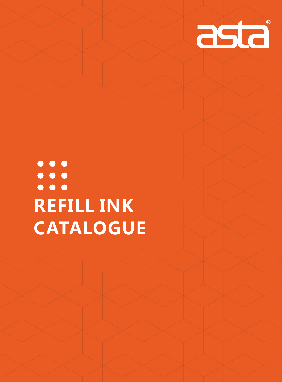

# $\bullet\bullet\bullet$  $\bullet\bullet\bullet$  $\bullet$   $\bullet$   $\bullet$ **REFILL INK CATALOGUE**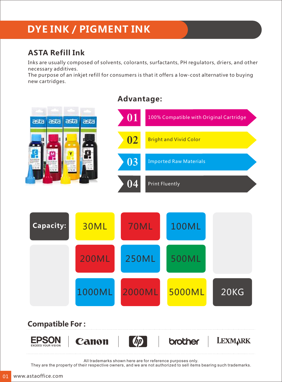# **DYE INK / PIGMENT INK**

### **ASTA Refill Ink**

Inks are usually composed of solvents, colorants, surfactants, PH regulators, driers, and other necessary additives.

The purpose of an inkjet refill for consumers is that it offers a low-cost alternative to buying new cartridges.

# **Advantage: 01** 100% Compatible with Original Cartridge asta asta  $\overline{a}$ ast **02** Bright and Vivid Color **03** Imported Raw Materials Print Fluently **04** 70ML 100ML **Capacity:** 30ML 200ML 250ML 500ML 1000ML 2000ML 5000ML 20KG

#### **Compatible For :LEXMARK EPSON** Canon brother EXCEED YOUR VISION

All trademarks shown here are for reference purposes only.

They are the property of their respective owners, and we are not authorized to sell items bearing such trademarks.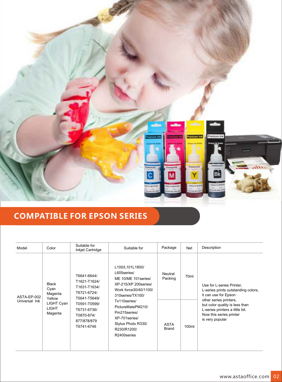

### **COMPATIBLE FOR EPSON SERIES**

| Model                        | Color                                                                              | Suitable for<br>Inkjet Cartridge                                                                                                                     | Suitable for                                                                                                                                                                                                                                           | Package                                           | Net                       | Description                                                                                                                                                                                                                           |
|------------------------------|------------------------------------------------------------------------------------|------------------------------------------------------------------------------------------------------------------------------------------------------|--------------------------------------------------------------------------------------------------------------------------------------------------------------------------------------------------------------------------------------------------------|---------------------------------------------------|---------------------------|---------------------------------------------------------------------------------------------------------------------------------------------------------------------------------------------------------------------------------------|
| ASTA-EP-002<br>Universal Ink | <b>Black</b><br>Cyan<br>Magenta<br>Yellow<br>LIGHT Cyan<br><b>LIGHT</b><br>Magenta | T6641-6644/<br>T1621-T1624/<br>T1631-T1634/<br>T6721-6724/<br>T5641-T5649/<br>T0591-T0599/<br>T6731-6736/<br>T0870-874/<br>877/878/879<br>T6741-6746 | L100/L101L1800/<br>L605series/<br>ME 10/ME 101 series/<br>XP-215/XP 200series/<br>Work force 30/40/1100/<br>310series/TX100/<br>Tx110series/<br>PictureMatePM210/<br>Pm215series/<br>XP-701series/<br>Stylus Photo R330/<br>R230/R1200/<br>R2400series | Neutral<br>Packing<br><b>ASTA</b><br><b>Brand</b> | 70 <sub>ml</sub><br>100ml | Use for L-series Printer,<br>L-series prints outstanding colors,<br>it can use for Epson<br>other series printers,<br>but color quality is less than<br>L-series printers a little bit.<br>Now this series printer<br>is very popular |
|                              |                                                                                    |                                                                                                                                                      |                                                                                                                                                                                                                                                        |                                                   |                           |                                                                                                                                                                                                                                       |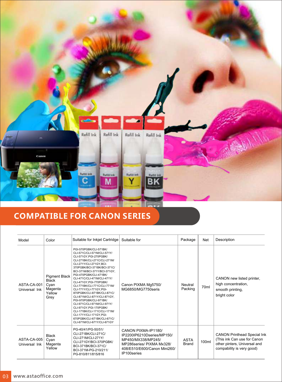

### **COMPATIBLE FOR CANON SERIES**

| Model                        | Color                                                                     | Suitable for Inkjet Cartridge                                                                                                                                                                                                                                                                                                                                                                                                                                                                                                                                                                                                         | Suitable for                                                                                                                                        | Package                     | <b>Net</b> | Description                                                                                                                    |
|------------------------------|---------------------------------------------------------------------------|---------------------------------------------------------------------------------------------------------------------------------------------------------------------------------------------------------------------------------------------------------------------------------------------------------------------------------------------------------------------------------------------------------------------------------------------------------------------------------------------------------------------------------------------------------------------------------------------------------------------------------------|-----------------------------------------------------------------------------------------------------------------------------------------------------|-----------------------------|------------|--------------------------------------------------------------------------------------------------------------------------------|
| ASTA-CA-001<br>Universal Ink | <b>Pigment Black</b><br><b>Black</b><br>Cyan<br>Magenta<br>Yellow<br>Grey | PGI-570PGBK/CLI-571BK/<br>CLI-571C/CLI-571M/CLI-571Y/<br>CLI-571GY, PGI-270PGBK/<br>CLI-271BK/CLI-271C/CLI-271M/<br>CLI-271Y/CLI-271GY, BCI-<br>370PGBK/BCI-371BK/BCI-371C/<br>BCI-371M/BCI-371Y/BCI-371GY.<br>PGI-470PGBK/CLI-471BK/<br>CLI-471C/CLI-471M/CLI-471Y/<br>CLI-471GY.PGI-770PGBK/<br>CLI-771BK/CLI-771C/CLI-771M/<br>CLI-771Y/CLI-771GY.PGI-<br>870PGBK/CLI-871BK/CLI-871C/<br>CLI-871M/CLI-871Y/CLI-871GY.<br>PGI-970PGBK/CLI-971BK/<br>CLI-971C/CLI-971M/CLI-971Y/<br>CLI-971GY.PGI-170PGBK/<br>CLI-171BK/CLI-171C/CLI-171M/<br>CLI-171Y/CLI-171GY, PGI-<br>670PGBK/CLI-671BK/CLI-671C/<br>CLI-671M/CLI-671Y/CLI-671GY | Canon PIXMA Mg5750/<br>MG6850/MG7750seris                                                                                                           | Neutral<br>Packing          | 70ml       | CANON new listed printer,<br>high concentration,<br>smooth printing,<br>bright color                                           |
| ASTA-CA-005<br>Universal Ink | <b>Black</b><br>Cyan<br>Magenta<br>Yellow                                 | PG-40/41/PG-50/51/<br>CLI-271BK/CLI-271C/<br>CLI-271M/CLI-271Y/<br>CLI-271GY/BCI-370PGBK/<br>BCI-371BK/BCI-371C/<br>BCI-371M-PG-210/211/<br>PG-810/811/815/816                                                                                                                                                                                                                                                                                                                                                                                                                                                                        | CANON PIXMA-IP1180/<br>IP2200IP6210Dseries/MP150/<br>MP450/MX338/MP245/<br>MP286series/ PIXMA Mx328/<br>408/E510/E600/Canon Mini260/<br>IP100series | <b>ASTA</b><br><b>Brand</b> | 100ml      | <b>CANON Printhead Special Ink</b><br>(This ink Can use for Canon<br>other pinters, Universal and<br>compability is very good) |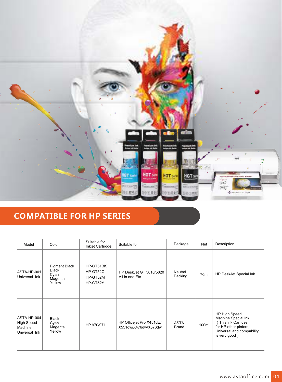

### **COMPATIBLE FOR HP SERIES**

| Model                                                        | Color                                                      | Suitable for<br>Inkjet Cartridge              | Suitable for                                     | Package              | Net              | Description                                                                                                                     |
|--------------------------------------------------------------|------------------------------------------------------------|-----------------------------------------------|--------------------------------------------------|----------------------|------------------|---------------------------------------------------------------------------------------------------------------------------------|
| ASTA-HP-001<br>Universal Ink                                 | Pigment Black<br><b>Black</b><br>Cyan<br>Magenta<br>Yellow | HP-GT51BK<br>HP-GT52C<br>HP-GT52M<br>HP-GT52Y | <b>HP DeskJet GT 5810/5820</b><br>All in one Etc | Neutral<br>Packing   | 70 <sub>ml</sub> | <b>HP DeskJet Special Ink</b>                                                                                                   |
| ASTA-HP-004<br><b>High Speed</b><br>Machine<br>Universal Ink | <b>Black</b><br>Cyan<br>Magenta<br>Yellow                  | HP 970/971                                    | HP Officejet Pro X451dw/<br>X551dw/X476dw/X576dw | <b>ASTA</b><br>Brand | 100ml            | HP High Speed<br>Machine Special Ink<br>This ink Can use<br>for HP other pinters,<br>Universal and compability<br>is very good) |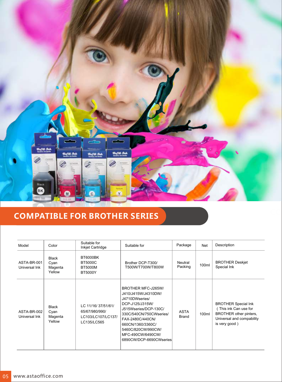

### **COMPATIBLE FOR BROTHER SERIES**

| Model                        | Color                                     | Suitable for<br>Inkjet Cartridge                                          | Suitable for                                                                                                                                                                                                                                      | Package                     | Net   | Description                                                                                                                |
|------------------------------|-------------------------------------------|---------------------------------------------------------------------------|---------------------------------------------------------------------------------------------------------------------------------------------------------------------------------------------------------------------------------------------------|-----------------------------|-------|----------------------------------------------------------------------------------------------------------------------------|
| ASTA-BR-001<br>Universal Ink | <b>Black</b><br>Cyan<br>Magenta<br>Yellow | BT6000BK<br><b>BT5000C</b><br><b>BT5000M</b><br><b>BT5000Y</b>            | Brother DCP-T300/<br>T500W/T700W/T800W                                                                                                                                                                                                            | Neutral<br>Packing          | 100ml | <b>BROTHER Deskjet</b><br>Special Ink                                                                                      |
| ASTA-BR-002<br>Universal Ink | <b>Black</b><br>Cyan<br>Magenta<br>Yellow | LC 11/16/37/51/61/<br>65/67/980/990/<br>LC103/LC107/LC137/<br>LC135/LC565 | BROTHER MFC-J265W/<br>J410/J415W/J4310DW/<br>J4710DWseries/<br>DCP-J125/J315W/<br>J515Wseries/DCP-130C/<br>330C/540CN/750CWseries/<br>FAX-2480C/440CN/<br>660CN/1360/3360C/<br>5460C/820CW/990CW/<br>MFC-490CW/6490CW/<br>6890CW/DCP-6690CWseries | <b>ASTA</b><br><b>Brand</b> | 100ml | <b>BROTHER Special Ink</b><br>This ink Can use for<br>BROTHER other pinters,<br>Universal and compability<br>is very good) |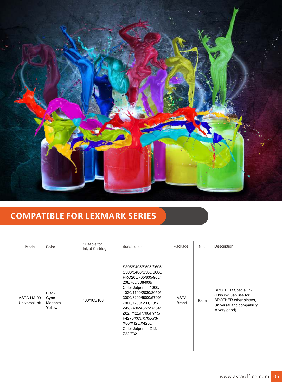

### **COMPATIBLE FOR LEXMARK SERIES**

| Model                        | Color                                     | Suitable for<br>Inkjet Cartridge | Suitable for                                                                                                                                                                                                                                                                                                         | Package                     | <b>Net</b> | Description                                                                                                                 |
|------------------------------|-------------------------------------------|----------------------------------|----------------------------------------------------------------------------------------------------------------------------------------------------------------------------------------------------------------------------------------------------------------------------------------------------------------------|-----------------------------|------------|-----------------------------------------------------------------------------------------------------------------------------|
| ASTA-LM-001<br>Universal Ink | <b>Black</b><br>Cyan<br>Magenta<br>Yellow | 100/105/108                      | S305/S405/S505/S605/<br>S308/S408/S508/S608/<br>PRO205/705/805/905/<br>208/708/808/908/<br>Color Jetprinter 1000/<br>1020/1100/2030/2050/<br>3000/3200/5000/5700/<br>7000/7200/ Z11/Z31/<br>Z42/Z43/Z45/Z51/Z54/<br>Z82/P122/P706/P715/<br>F4270/X63/X70/X73/<br>X80/X125/X4250/<br>Color Jetprinter Z12/<br>Z22/Z32 | <b>ASTA</b><br><b>Brand</b> | 100ml      | <b>BROTHER Special Ink</b><br>(This ink Can use for<br>BROTHER other pinters,<br>Universal and compability<br>is very good) |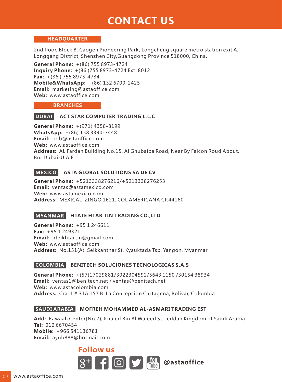## **CONTACT US**

#### **HEADQUARTER**

2nd floor, Block B, Caogen Pioneering Park, Longcheng square metro station exit A, Longgang District, Shenzhen City,Guangdong Province 518000, China.

**General Phone:** +(86) 755 8973-4724 **Inquiry Phone:** +(86 )755 8973-4724 Ext: 8012 **Fax:** +(86 ) 755 8973-4734 **Mobile&WhatsApp:** +(86) 132 6700-2425 **Email:** marketing@astaoffice.com **Web:** www.astaoffice.com

#### **BRANCHES**

### **DUBAI ACT STAR COMPUTER TRADING L.L.C**

**General Phone:** +(971) 4358-8199 **WhatsApp:** +(86) 158 3390-7448 **Email:** bob@astaoffice.com **Web:** www.astaoffice.com **Address:** AL Fardan Building No.15, Al Ghubaiba Road, Near By Falcon Roud About. Bur Dubai-U.A.E

#### **MEXICO ASTA GLOBAL SOLUTIONS SA DE CV**

**General Phone:** +5213338276216/+5213338276253  **Email:** ventas@astamexico.com **Web:** www.astamexico.com **Address:** MEXICALTZINGO 1621. COL AMERICANA CP.44160

<u>eesses saas</u>

#### **MYANMAR HTATE HTAR TIN TRADING CO.,LTD**

**General Phone:** +95 1 246611 **Fax:** +95 1 249321 **Email:** hteikhtartin@gmail.com **Web:** www.astaoffice.com **Address:** No.151(A), Seikkanthar St, Kyauktada Tsp, Yangon, Myanmar

#### **COLOMBIA BENITECH SOLUCIONES TECNOLOGICAS S.A.S**

**General Phone:** +(57)17029881/3022304592/5643 1150 /30154 38934 **Email:** ventas1@benitech.net / ventas@benitech.net **Web:** www.astacolombia.com **Address:** Cra. 1 # 31A 157 B. La Concepcion Cartagena, Bolivar, Colombia

### **SAUDI ARABIA MOFREH MOHAMMED AL-ASMARI TRADING EST**

**Add:** Rawaah Center(No.7), Khaled Bin Al Waleed St. Jeddah Kingdom of Saudi Arabia **Tel:** 012 6670454 **Mobile:** +966 541136781 **Email:** ayub888@hotmail.com